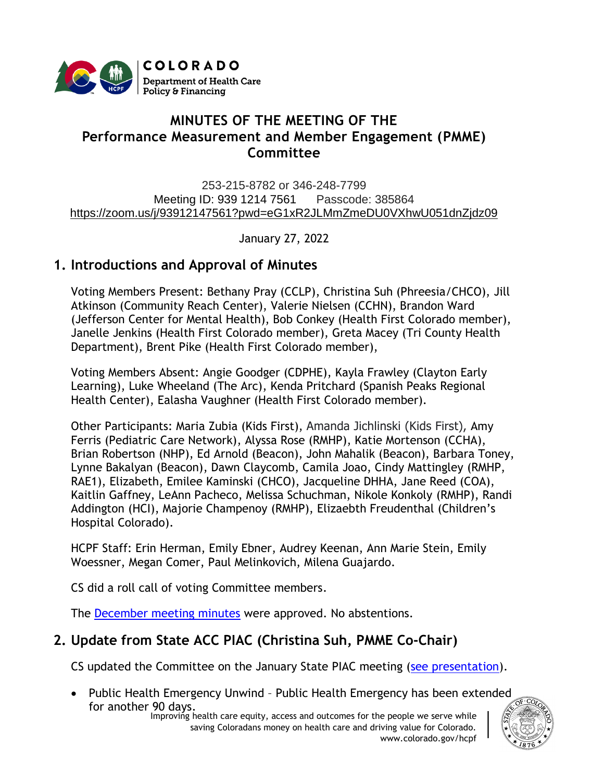

# **MINUTES OF THE MEETING OF THE Performance Measurement and Member Engagement (PMME) Committee**

253-215-8782 or 346-248-7799 Meeting ID: 939 1214 7561 Passcode: 385864 [https://zoom.us/j/93912147561?pwd=eG1xR2JLMmZmeDU0VXhwU051dnZjdz09](https://urldefense.proofpoint.com/v2/url?u=https-3A__www.google.com_url-3Fq-3Dhttps-253A-252F-252Fzoom.us-252Fj-252F93912147561-253Fpwd-253DeG1xR2JLMmZmeDU0VXhwU051dnZjdz09-26sa-3DD-26ust-3D1616530236370000-26usg-3DAOvVaw2pBOHmp3kVX1RmT87UJo0h&d=DwMFaQ&c=sdnEM9SRGFuMt5z5w3AhsPNahmNicq64TgF1JwNR0cs&r=XWoW260UwlojDCSAAnCqRfzrOLFbHxFVx9ZWew2lkos&m=gKyuBSmgRDJ6jxp0dfm5SYf1S_bKcrF8OvgCKwLVieo&s=ts5VsXoiEWnrRji4C9UDtnQYAgBWW4W-PixaYiXvtzw&e=)

January 27, 2022

## **1. Introductions and Approval of Minutes**

Voting Members Present: Bethany Pray (CCLP), Christina Suh (Phreesia/CHCO), Jill Atkinson (Community Reach Center), Valerie Nielsen (CCHN), Brandon Ward (Jefferson Center for Mental Health), Bob Conkey (Health First Colorado member), Janelle Jenkins (Health First Colorado member), Greta Macey (Tri County Health Department), Brent Pike (Health First Colorado member),

Voting Members Absent: Angie Goodger (CDPHE), Kayla Frawley (Clayton Early Learning), Luke Wheeland (The Arc), Kenda Pritchard (Spanish Peaks Regional Health Center), Ealasha Vaughner (Health First Colorado member).

Other Participants: Maria Zubia (Kids First), Amanda Jichlinski (Kids First), Amy Ferris (Pediatric Care Network), Alyssa Rose (RMHP), Katie Mortenson (CCHA), Brian Robertson (NHP), Ed Arnold (Beacon), John Mahalik (Beacon), Barbara Toney, Lynne Bakalyan (Beacon), Dawn Claycomb, Camila Joao, Cindy Mattingley (RMHP, RAE1), Elizabeth, Emilee Kaminski (CHCO), Jacqueline DHHA, Jane Reed (COA), Kaitlin Gaffney, LeAnn Pacheco, Melissa Schuchman, Nikole Konkoly (RMHP), Randi Addington (HCI), Majorie Champenoy (RMHP), Elizaebth Freudenthal (Children's Hospital Colorado).

HCPF Staff: Erin Herman, Emily Ebner, Audrey Keenan, Ann Marie Stein, Emily Woessner, Megan Comer, Paul Melinkovich, Milena Guajardo.

CS did a roll call of voting Committee members.

The [December meeting minutes](https://hcpf.colorado.gov/sites/hcpf/files/Performance%20Measurement%20and%20Member%20Engagement%20Minutes%20Draft%20October%202021.pdf) were approved. No abstentions.

# **2. Update from State ACC PIAC (Christina Suh, PMME Co-Chair)**

CS updated the Committee on the January State PIAC meeting [\(see presentation\)](https://hcpf.colorado.gov/sites/hcpf/files/Performance%20Measurement%20and%20Member%20Engagement%20Presentation%20December%202021.pdf).

• Public Health Emergency Unwind – Public Health Emergency has been extended for another 90 days.

Improving health care equity, access and outcomes for the people we serve while saving Coloradans money on health care and driving value for Colorado. www.colorado.gov/hcpf

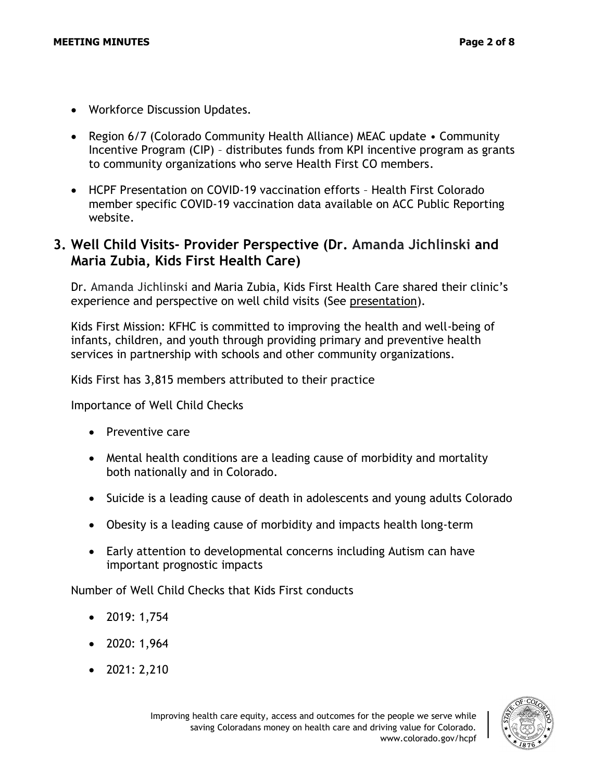- Workforce Discussion Updates.
- Region 6/7 (Colorado Community Health Alliance) MEAC update Community Incentive Program (CIP) – distributes funds from KPI incentive program as grants to community organizations who serve Health First CO members.
- HCPF Presentation on COVID-19 vaccination efforts Health First Colorado member specific COVID-19 vaccination data available on ACC Public Reporting website.

### **3. Well Child Visits- Provider Perspective (Dr. Amanda Jichlinski and Maria Zubia, Kids First Health Care)**

Dr. Amanda Jichlinski and Maria Zubia, Kids First Health Care shared their clinic's experience and perspective on well child visits (See [presentation\)](https://hcpf.colorado.gov/sites/hcpf/files/Performance%20Measurement%20and%20Member%20Engagement%20PIAC%20Sucbommittee%20Kids%20First%20Well%20Child%20Checks%20Presentation%20January%202022.pdf).

Kids First Mission: KFHC is committed to improving the health and well-being of infants, children, and youth through providing primary and preventive health services in partnership with schools and other community organizations.

Kids First has 3,815 members attributed to their practice

Importance of Well Child Checks

- Preventive care
- Mental health conditions are a leading cause of morbidity and mortality both nationally and in Colorado.
- Suicide is a leading cause of death in adolescents and young adults Colorado
- Obesity is a leading cause of morbidity and impacts health long-term
- Early attention to developmental concerns including Autism can have important prognostic impacts

Number of Well Child Checks that Kids First conducts

- 2019: 1,754
- 2020: 1,964
- 2021: 2,210

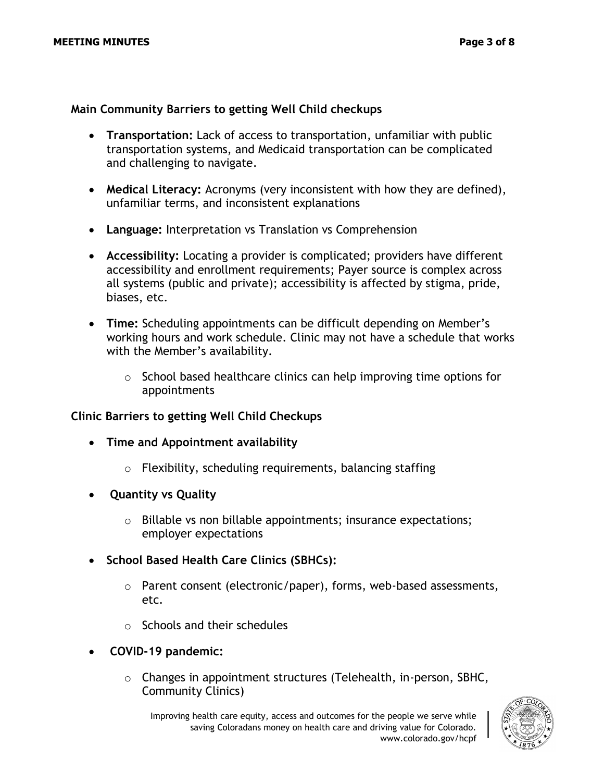### **Main Community Barriers to getting Well Child checkups**

- **Transportation:** Lack of access to transportation, unfamiliar with public transportation systems, and Medicaid transportation can be complicated and challenging to navigate.
- **Medical Literacy:** Acronyms (very inconsistent with how they are defined), unfamiliar terms, and inconsistent explanations
- **Language:** Interpretation vs Translation vs Comprehension
- **Accessibility:** Locating a provider is complicated; providers have different accessibility and enrollment requirements; Payer source is complex across all systems (public and private); accessibility is affected by stigma, pride, biases, etc.
- **Time:** Scheduling appointments can be difficult depending on Member's working hours and work schedule. Clinic may not have a schedule that works with the Member's availability.
	- $\circ$  School based healthcare clinics can help improving time options for appointments

#### **Clinic Barriers to getting Well Child Checkups**

- **Time and Appointment availability** 
	- o Flexibility, scheduling requirements, balancing staffing
- **Quantity vs Quality**
	- o Billable vs non billable appointments; insurance expectations; employer expectations
- **School Based Health Care Clinics (SBHCs):** 
	- o Parent consent (electronic/paper), forms, web-based assessments, etc.
	- $\circ$  Schools and their schedules
- **COVID-19 pandemic:**
	- o Changes in appointment structures (Telehealth, in-person, SBHC, Community Clinics)

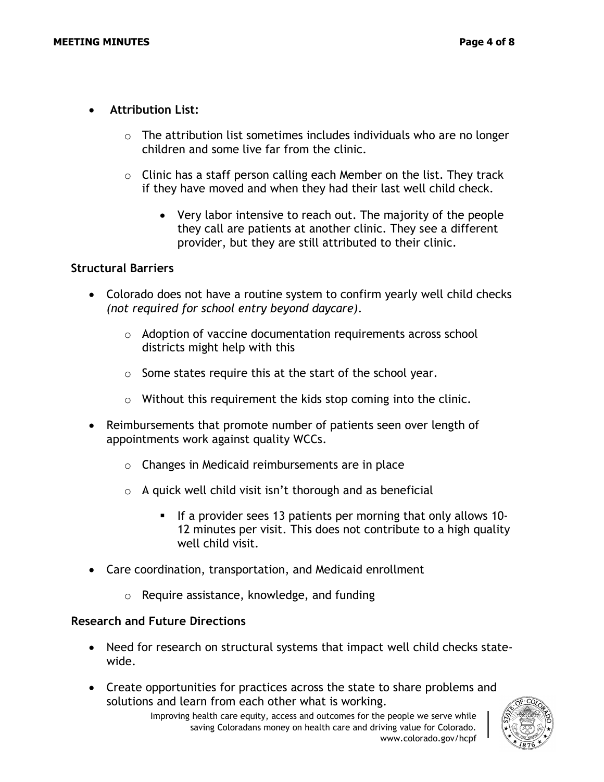- **Attribution List:**
	- $\circ$  The attribution list sometimes includes individuals who are no longer children and some live far from the clinic.
	- $\circ$  Clinic has a staff person calling each Member on the list. They track if they have moved and when they had their last well child check.
		- Very labor intensive to reach out. The majority of the people they call are patients at another clinic. They see a different provider, but they are still attributed to their clinic.

#### **Structural Barriers**

- Colorado does not have a routine system to confirm yearly well child checks *(not required for school entry beyond daycare).*
	- o Adoption of vaccine documentation requirements across school districts might help with this
	- $\circ$  Some states require this at the start of the school year.
	- o Without this requirement the kids stop coming into the clinic.
- Reimbursements that promote number of patients seen over length of appointments work against quality WCCs.
	- o Changes in Medicaid reimbursements are in place
	- $\circ$  A quick well child visit isn't thorough and as beneficial
		- If a provider sees 13 patients per morning that only allows 10- 12 minutes per visit. This does not contribute to a high quality well child visit.
- Care coordination, transportation, and Medicaid enrollment
	- o Require assistance, knowledge, and funding

#### **Research and Future Directions**

- Need for research on structural systems that impact well child checks statewide.
- Create opportunities for practices across the state to share problems and solutions and learn from each other what is working.

Improving health care equity, access and outcomes for the people we serve while saving Coloradans money on health care and driving value for Colorado. www.colorado.gov/hcpf

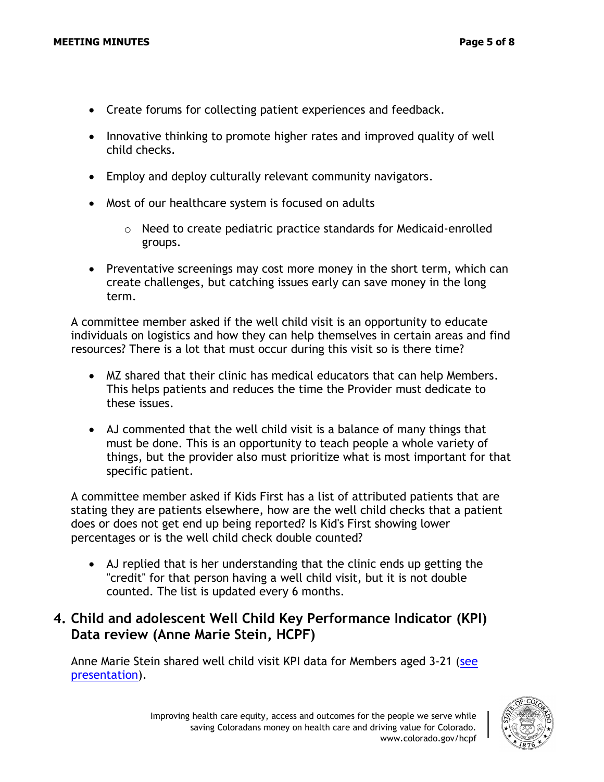- Create forums for collecting patient experiences and feedback.
- Innovative thinking to promote higher rates and improved quality of well child checks.
- Employ and deploy culturally relevant community navigators.
- Most of our healthcare system is focused on adults
	- o Need to create pediatric practice standards for Medicaid-enrolled groups.
- Preventative screenings may cost more money in the short term, which can create challenges, but catching issues early can save money in the long term.

A committee member asked if the well child visit is an opportunity to educate individuals on logistics and how they can help themselves in certain areas and find resources? There is a lot that must occur during this visit so is there time?

- MZ shared that their clinic has medical educators that can help Members. This helps patients and reduces the time the Provider must dedicate to these issues.
- AJ commented that the well child visit is a balance of many things that must be done. This is an opportunity to teach people a whole variety of things, but the provider also must prioritize what is most important for that specific patient.

A committee member asked if Kids First has a list of attributed patients that are stating they are patients elsewhere, how are the well child checks that a patient does or does not get end up being reported? Is Kid's First showing lower percentages or is the well child check double counted?

• AJ replied that is her understanding that the clinic ends up getting the "credit" for that person having a well child visit, but it is not double counted. The list is updated every 6 months.

### **4. Child and adolescent Well Child Key Performance Indicator (KPI) Data review (Anne Marie Stein, HCPF)**

Anne Marie Stein shared well child visit KPI data for Members aged 3-21 (see [presentation\)](https://hcpf.colorado.gov/sites/hcpf/files/Performance%20Measurement%20and%20Member%20Engagement%20PIAC%20Sucbommittee%20Well%20Child%20Data%20Review%20January%202022.pdf).

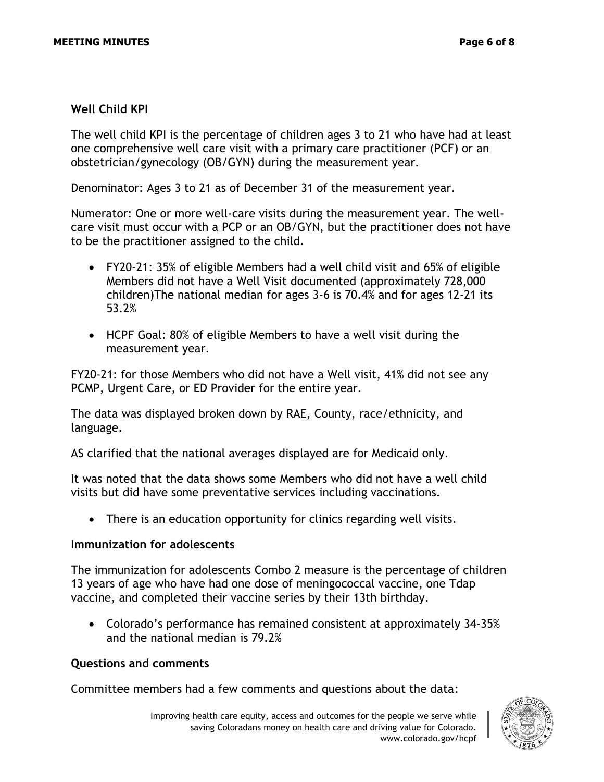### **Well Child KPI**

The well child KPI is the percentage of children ages 3 to 21 who have had at least one comprehensive well care visit with a primary care practitioner (PCF) or an obstetrician/gynecology (OB/GYN) during the measurement year.

Denominator: Ages 3 to 21 as of December 31 of the measurement year.

Numerator: One or more well-care visits during the measurement year. The wellcare visit must occur with a PCP or an OB/GYN, but the practitioner does not have to be the practitioner assigned to the child.

- FY20-21: 35% of eligible Members had a well child visit and 65% of eligible Members did not have a Well Visit documented (approximately 728,000 children)The national median for ages 3-6 is 70.4% and for ages 12-21 its 53.2%
- HCPF Goal: 80% of eligible Members to have a well visit during the measurement year.

FY20-21: for those Members who did not have a Well visit, 41% did not see any PCMP, Urgent Care, or ED Provider for the entire year.

The data was displayed broken down by RAE, County, race/ethnicity, and language.

AS clarified that the national averages displayed are for Medicaid only.

It was noted that the data shows some Members who did not have a well child visits but did have some preventative services including vaccinations.

• There is an education opportunity for clinics regarding well visits.

#### **Immunization for adolescents**

The immunization for adolescents Combo 2 measure is the percentage of children 13 years of age who have had one dose of meningococcal vaccine, one Tdap vaccine, and completed their vaccine series by their 13th birthday.

• Colorado's performance has remained consistent at approximately 34-35% and the national median is 79.2%

#### **Questions and comments**

Committee members had a few comments and questions about the data: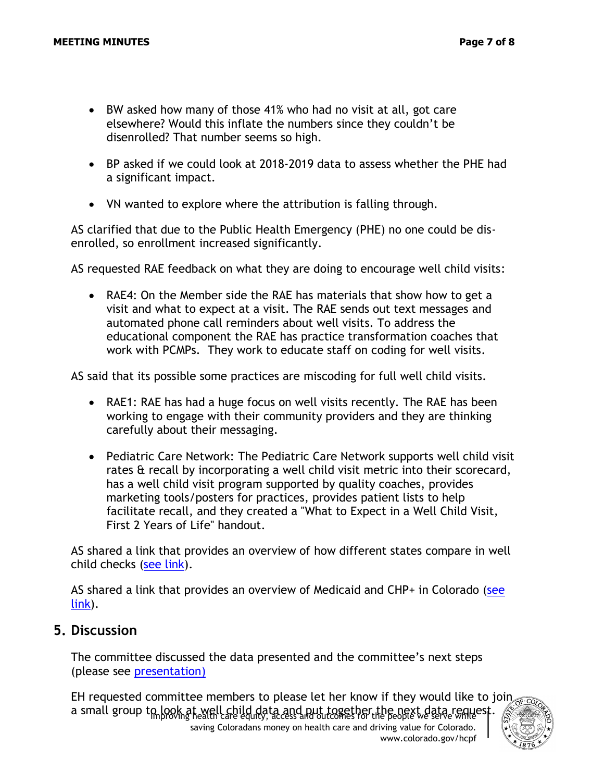- BW asked how many of those 41% who had no visit at all, got care elsewhere? Would this inflate the numbers since they couldn't be disenrolled? That number seems so high.
- BP asked if we could look at 2018-2019 data to assess whether the PHE had a significant impact.
- VN wanted to explore where the attribution is falling through.

AS clarified that due to the Public Health Emergency (PHE) no one could be disenrolled, so enrollment increased significantly.

AS requested RAE feedback on what they are doing to encourage well child visits:

• RAE4: On the Member side the RAE has materials that show how to get a visit and what to expect at a visit. The RAE sends out text messages and automated phone call reminders about well visits. To address the educational component the RAE has practice transformation coaches that work with PCMPs. They work to educate staff on coding for well visits.

AS said that its possible some practices are miscoding for full well child visits.

- RAE1: RAE has had a huge focus on well visits recently. The RAE has been working to engage with their community providers and they are thinking carefully about their messaging.
- Pediatric Care Network: The Pediatric Care Network supports well child visit rates & recall by incorporating a well child visit metric into their scorecard, has a well child visit program supported by quality coaches, provides marketing tools/posters for practices, provides patient lists to help facilitate recall, and they created a "What to Expect in a Well Child Visit, First 2 Years of Life" handout.

AS shared a link that provides an overview of how different states compare in well child checks [\(see link\)](https://www.medicaid.gov/state-overviews/scorecard/well-child-visits-third-fourth-fifth-sixth-years-of-life/index.html).

AS shared a link that provides an overview of Medicaid and CHP+ in Colorado (see [link\)](https://www.medicaid.gov/state-overviews/stateprofile.html?state=colorado).

### **5. Discussion**

The committee discussed the data presented and the committee's next steps (please see [presentation\)](https://hcpf.colorado.gov/sites/hcpf/files/Performance%20Measurement%20and%20Member%20Engagement%20PIAC%20Sucbommittee%20Closing%20Discussion%20January%202022.pdf)

a small group to look at well child data and put together the next data request.<br>a small group to look at well care equity, access and outcomes for the people we serve while EH requested committee members to please let her know if they would like to join

saving Coloradans money on health care and driving value for Colorado. www.colorado.gov/hcpf